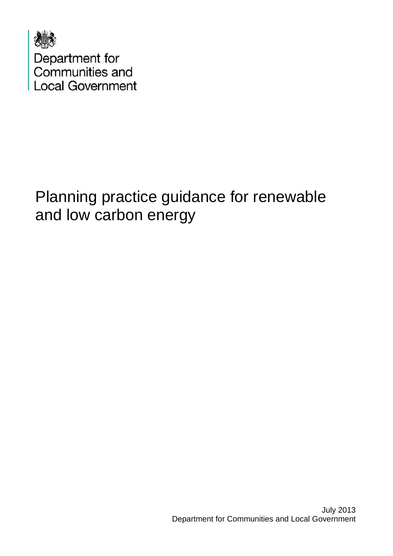

# Planning practice guidance for renewable and low carbon energy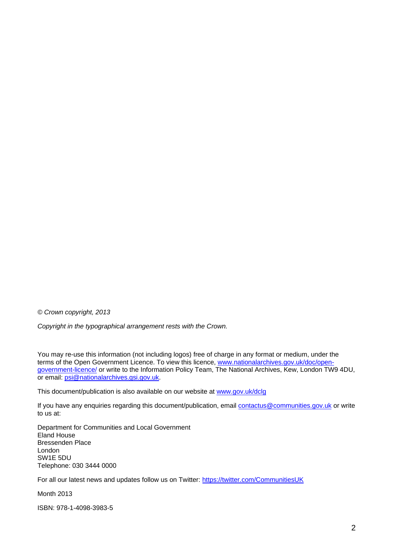*© Crown copyright, 2013* 

*Copyright in the typographical arrangement rests with the Crown.* 

You may re-use this information (not including logos) free of charge in any format or medium, under the terms of the Open Government Licence. To view this licence, [www.nationalarchives.gov.uk/doc/open](http://www.nationalarchives.gov.uk/doc/open-government-licence/)[government-licence/](http://www.nationalarchives.gov.uk/doc/open-government-licence/) or write to the Information Policy Team, The National Archives, Kew, London TW9 4DU, or email: [psi@nationalarchives.gsi.gov.uk.](mailto:psi@nationalarchives.gsi.gov.uk)

This document/publication is also available on our website at [www.gov.uk/dclg](http://www.gov.uk/dclg)

If you have any enquiries regarding this document/publication, email [contactus@communities.gov.uk](mailto:contactus@communities.gsi.gov.uk) or write to us at:

Department for Communities and Local Government Eland House Bressenden Place London SW1E 5DU Telephone: 030 3444 0000

For all our latest news and updates follow us on Twitter: https://twitter.com/CommunitiesUK

Month 2013

ISBN: 978-1-4098-3983-5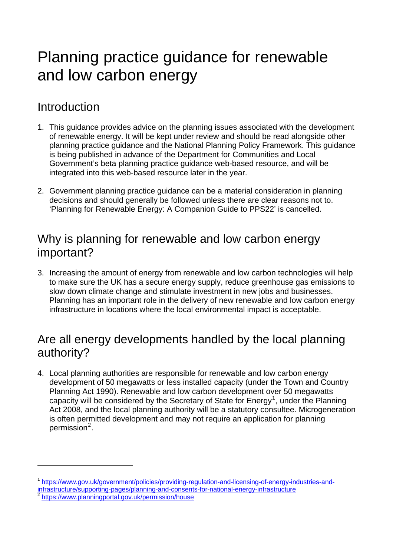# Planning practice guidance for renewable and low carbon energy

# Introduction

 $\overline{a}$ 

- 1. This guidance provides advice on the planning issues associated with the development of renewable energy. It will be kept under review and should be read alongside other planning practice guidance and the National Planning Policy Framework. This guidance is being published in advance of the Department for Communities and Local Government's beta planning practice guidance web-based resource, and will be integrated into this web-based resource later in the year.
- 2. Government planning practice guidance can be a material consideration in planning decisions and should generally be followed unless there are clear reasons not to. 'Planning for Renewable Energy: A Companion Guide to PPS22' is cancelled.

# Why is planning for renewable and low carbon energy important?

3. Increasing the amount of energy from renewable and low carbon technologies will help to make sure the UK has a secure energy supply, reduce greenhouse gas emissions to slow down climate change and stimulate investment in new jobs and businesses. Planning has an important role in the delivery of new renewable and low carbon energy infrastructure in locations where the local environmental impact is acceptable.

# Are all energy developments handled by the local planning authority?

4. Local planning authorities are responsible for renewable and low carbon energy development of 50 megawatts or less installed capacity (under the Town and Country Planning Act 1990). Renewable and low carbon development over 50 megawatts capacity will be considered by the Secretary of State for Energy<sup>[1](#page-2-0)</sup>, under the Planning Act 2008, and the local planning authority will be a statutory consultee. Microgeneration is often permitted development and may not require an application for planning permission<sup>[2](#page-2-1)</sup>.

<span id="page-2-1"></span><span id="page-2-0"></span><sup>1</sup> [https://www.gov.uk/government/policies/providing-regulation-and-licensing-of-energy-industries-and](https://www.gov.uk/government/policies/providing-regulation-and-licensing-of-energy-industries-and-infrastructure/supporting-pages/planning-and-consents-for-national-energy-infrastructure)[infrastructure/supporting-pages/planning-and-consents-for-national-energy-infrastructure](https://www.gov.uk/government/policies/providing-regulation-and-licensing-of-energy-industries-and-infrastructure/supporting-pages/planning-and-consents-for-national-energy-infrastructure) 2<br>
2 <https://www.planningportal.gov.uk/permission/house>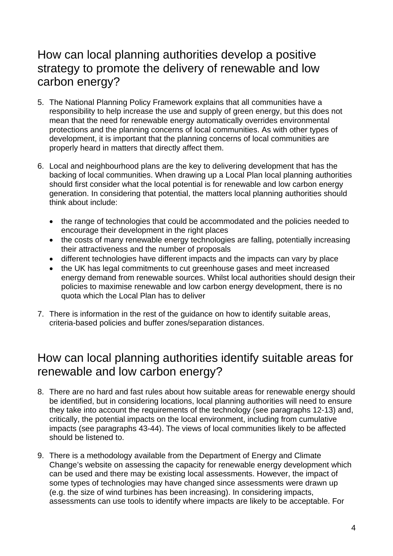# How can local planning authorities develop a positive strategy to promote the delivery of renewable and low carbon energy?

- 5. The National Planning Policy Framework explains that all communities have a responsibility to help increase the use and supply of green energy, but this does not mean that the need for renewable energy automatically overrides environmental protections and the planning concerns of local communities. As with other types of development, it is important that the planning concerns of local communities are properly heard in matters that directly affect them.
- 6. Local and neighbourhood plans are the key to delivering development that has the backing of local communities. When drawing up a Local Plan local planning authorities should first consider what the local potential is for renewable and low carbon energy generation. In considering that potential, the matters local planning authorities should think about include:
	- the range of technologies that could be accommodated and the policies needed to encourage their development in the right places
	- the costs of many renewable energy technologies are falling, potentially increasing their attractiveness and the number of proposals
	- different technologies have different impacts and the impacts can vary by place
	- the UK has legal commitments to cut greenhouse gases and meet increased energy demand from renewable sources. Whilst local authorities should design their policies to maximise renewable and low carbon energy development, there is no quota which the Local Plan has to deliver
- 7. There is information in the rest of the guidance on how to identify suitable areas, criteria-based policies and buffer zones/separation distances.

# How can local planning authorities identify suitable areas for renewable and low carbon energy?

- 8. There are no hard and fast rules about how suitable areas for renewable energy should be identified, but in considering locations, local planning authorities will need to ensure they take into account the requirements of the technology (see paragraphs 12-13) and, critically, the potential impacts on the local environment, including from cumulative impacts (see paragraphs 43-44). The views of local communities likely to be affected should be listened to.
- 9. There is a methodology available from the Department of Energy and Climate Change's website on assessing the capacity for renewable energy development which can be used and there may be existing local assessments. However, the impact of some types of technologies may have changed since assessments were drawn up (e.g. the size of wind turbines has been increasing). In considering impacts, assessments can use tools to identify where impacts are likely to be acceptable. For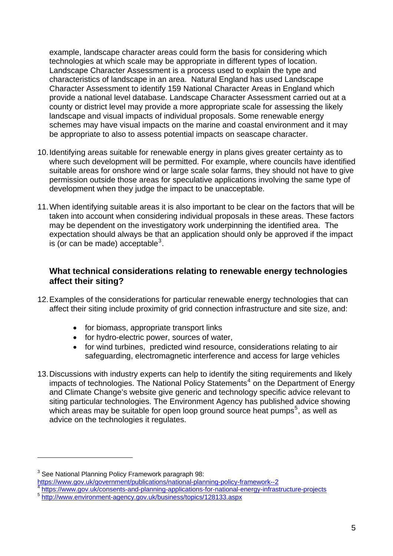example, landscape character areas could form the basis for considering which technologies at which scale may be appropriate in different types of location. Landscape Character Assessment is a process used to explain the type and characteristics of landscape in an area. Natural England has used Landscape Character Assessment to identify 159 National Character Areas in England which provide a national level database. Landscape Character Assessment carried out at a county or district level may provide a more appropriate scale for assessing the likely landscape and visual impacts of individual proposals. Some renewable energy schemes may have visual impacts on the marine and coastal environment and it may be appropriate to also to assess potential impacts on seascape character.

- 10. Identifying areas suitable for renewable energy in plans gives greater certainty as to where such development will be permitted. For example, where councils have identified suitable areas for onshore wind or large scale solar farms, they should not have to give permission outside those areas for speculative applications involving the same type of development when they judge the impact to be unacceptable.
- 11. When identifying suitable areas it is also important to be clear on the factors that will be taken into account when considering individual proposals in these areas. These factors may be dependent on the investigatory work underpinning the identified area. The expectation should always be that an application should only be approved if the impact is (or can be made) acceptable $3$ .

### **What technical considerations relating to renewable energy technologies affect their siting?**

- 12. Examples of the considerations for particular renewable energy technologies that can affect their siting include proximity of grid connection infrastructure and site size, and:
	- for biomass, appropriate transport links
	- for hydro-electric power, sources of water,
	- for wind turbines, predicted wind resource, considerations relating to air safeguarding, electromagnetic interference and access for large vehicles
- 13. Discussions with industry experts can help to identify the siting requirements and likely impacts of technologies. The National Policy Statements<sup>[4](#page-4-1)</sup> on the Department of Energy and Climate Change's website give generic and technology specific advice relevant to siting particular technologies. The Environment Agency has published advice showing which areas may be suitable for open loop ground source heat pumps<sup>[5](#page-4-2)</sup>, as well as advice on the technologies it regulates.

l

 $3$  See National Planning Policy Framework paragraph 98:

<span id="page-4-1"></span><span id="page-4-0"></span><https://www.gov.uk/government/publications/national-planning-policy-framework--2><br> <https://www.gov.uk/consents-and-planning-applications-for-national-energy-infrastructure-projects><br>
5 http://www.environment-agency.gov.uk/bu

<span id="page-4-2"></span>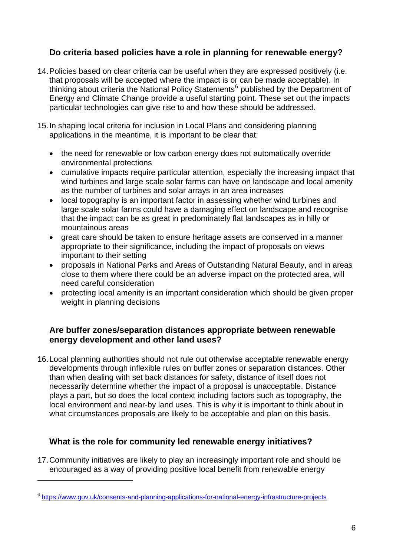## **Do criteria based policies have a role in planning for renewable energy?**

- 14. Policies based on clear criteria can be useful when they are expressed positively (i.e. that proposals will be accepted where the impact is or can be made acceptable). In thinking about criteria the National Policy Statements<sup>[6](#page-5-0)</sup> published by the Department of Energy and Climate Change provide a useful starting point. These set out the impacts particular technologies can give rise to and how these should be addressed.
- 15. In shaping local criteria for inclusion in Local Plans and considering planning applications in the meantime, it is important to be clear that:
	- the need for renewable or low carbon energy does not automatically override environmental protections
	- cumulative impacts require particular attention, especially the increasing impact that wind turbines and large scale solar farms can have on landscape and local amenity as the number of turbines and solar arrays in an area increases
	- local topography is an important factor in assessing whether wind turbines and large scale solar farms could have a damaging effect on landscape and recognise that the impact can be as great in predominately flat landscapes as in hilly or mountainous areas
	- great care should be taken to ensure heritage assets are conserved in a manner appropriate to their significance, including the impact of proposals on views important to their setting
	- proposals in National Parks and Areas of Outstanding Natural Beauty, and in areas close to them where there could be an adverse impact on the protected area, will need careful consideration
	- protecting local amenity is an important consideration which should be given proper weight in planning decisions

### **Are buffer zones/separation distances appropriate between renewable energy development and other land uses?**

16. Local planning authorities should not rule out otherwise acceptable renewable energy developments through inflexible rules on buffer zones or separation distances. Other than when dealing with set back distances for safety, distance of itself does not necessarily determine whether the impact of a proposal is unacceptable. Distance plays a part, but so does the local context including factors such as topography, the local environment and near-by land uses. This is why it is important to think about in what circumstances proposals are likely to be acceptable and plan on this basis.

## **What is the role for community led renewable energy initiatives?**

17. Community initiatives are likely to play an increasingly important role and should be encouraged as a way of providing positive local benefit from renewable energy

<span id="page-5-0"></span><sup>6</sup> <https://www.gov.uk/consents-and-planning-applications-for-national-energy-infrastructure-projects>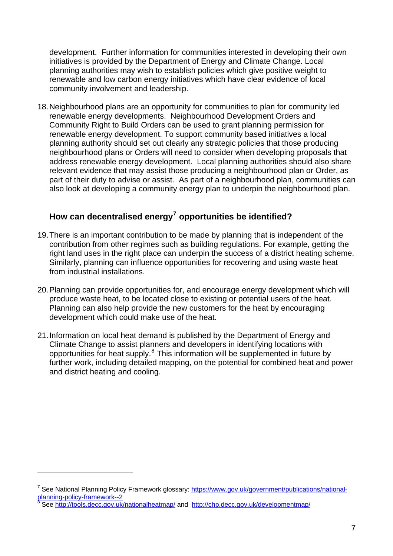development. Further information for communities interested in developing their own initiatives is provided by the Department of Energy and Climate Change. Local planning authorities may wish to establish policies which give positive weight to renewable and low carbon energy initiatives which have clear evidence of local community involvement and leadership.

18. Neighbourhood plans are an opportunity for communities to plan for community led renewable energy developments. Neighbourhood Development Orders and Community Right to Build Orders can be used to grant planning permission for renewable energy development. To support community based initiatives a local planning authority should set out clearly any strategic policies that those producing neighbourhood plans or Orders will need to consider when developing proposals that address renewable energy development. Local planning authorities should also share relevant evidence that may assist those producing a neighbourhood plan or Order, as part of their duty to advise or assist. As part of a neighbourhood plan, communities can also look at developing a community energy plan to underpin the neighbourhood plan.

# **How can decentralised energy[7](#page-6-0) opportunities be identified?**

- 19. There is an important contribution to be made by planning that is independent of the contribution from other regimes such as building regulations. For example, getting the right land uses in the right place can underpin the success of a district heating scheme. Similarly, planning can influence opportunities for recovering and using waste heat from industrial installations.
- 20. Planning can provide opportunities for, and encourage energy development which will produce waste heat, to be located close to existing or potential users of the heat. Planning can also help provide the new customers for the heat by encouraging development which could make use of the heat.
- 21. Information on local heat demand is published by the Department of Energy and Climate Change to assist planners and developers in identifying locations with opportunities for heat supply.[8](#page-6-1) This information will be supplemented in future by further work, including detailed mapping, on the potential for combined heat and powe r and district heating and cooli ng.

<span id="page-6-0"></span><sup>&</sup>lt;sup>7</sup> See National Planning Policy Framework glossary: [https://www.gov.uk/government/publications/national](https://www.gov.uk/government/publications/national-planning-policy-framework--2)[planning-policy-framework--2](https://www.gov.uk/government/publications/national-planning-policy-framework--2)

<span id="page-6-1"></span>See <http://tools.decc.gov.uk/nationalheatmap/> and <http://chp.decc.gov.uk/developmentmap/>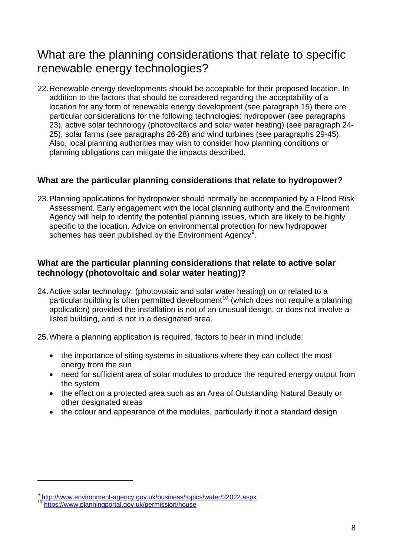# What are the planning considerations that relate to specific renewable energy technologies?

22. Renewable energy developments should be acceptable for their proposed location. In addition to the factors that should be considered regarding the acceptability of a location for any form of renewable energy development (see paragraph 15) there are particular considerations for the following technologies: hydropower (see paragraphs 23), active solar technology (photovoltaics and solar water heating) (see paragraph 24- 25), solar farms (see paragraphs 26-28) and wind turbines (see paragraphs 29-45). Also, local planning authorities may wish to consider how planning conditions or planning obligations can mitigate the impacts described.

## **What are the particular planning considerations that relate to hydropower?**

23. Planning applications for hydropower should normally be accompanied by a Flood Risk Assessment. Early engagement with the local planning authority and the Environment Agency will help to identify the potential planning issues, which are likely to be highly specific to the location. Advice on environmental protection for new hydropower schemes has been published by the [Environment Agency](http://www.environment-agency.gov.uk/hydropower)<sup>[9](#page-7-0)</sup>.

### **What are the particular planning considerations that relate to active solar technology (photovoltaic and solar water heating)?**

- 24. Active solar technology, (photovotaic and solar water heating) on or related to a particular building is often permitted development<sup>[10](#page-7-1)</sup> (which does not require a planning application) provided the installation is not of an unusual design, or does not involve a listed building, and is not in a designated area.
- 25. Where a planning application is required, factors to bear in mind include:
	- the importance of siting systems in situations where they can collect the most energy from the sun
	- need for sufficient area of solar modules to produce the required energy output from the system
	- the effect on a protected area such as an Area of Outstanding Natural Beauty or other designated areas
	- the colour and appearance of the modules, particularly if not a standard design

<span id="page-7-0"></span><sup>9</sup> <http://www.environment-agency.gov.uk/business/topics/water/32022.aspx>

<span id="page-7-1"></span><sup>10</sup> <https://www.planningportal.gov.uk/permission/house>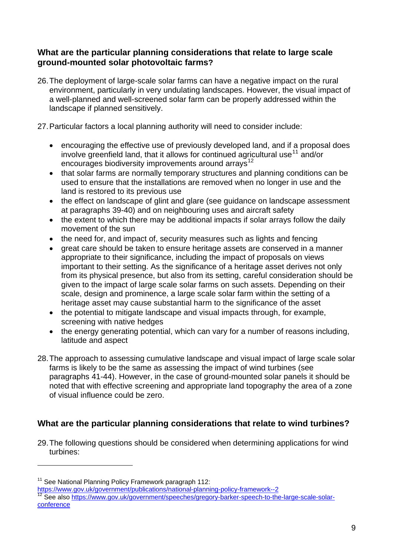### **What are the particular planning considerations that relate to large scale ground-mounted solar photovoltaic farms?**

- 26. The deployment of large-scale solar farms can have a negative impact on the rural environment, particularly in very undulating landscapes. However, the visual impact of a well-planned and well-screened solar farm can be properly addressed within the landscape if planned sensitively.
- 27. Particular factors a local planning authority will need to consider include:
	- encouraging the effective use of previously developed land, and if a proposal does involve greenfield land, that it allows for continued agricultural use<sup>[11](#page-8-0)</sup> and/or encourages biodiversity improvements around arrays<sup>[12](#page-8-1)</sup>
	- that solar farms are normally temporary structures and planning conditions can be used to ensure that the installations are removed when no longer in use and the land is restored to its previous use
	- the effect on landscape of glint and glare (see guidance on landscape assessment at paragraphs 39-40) and on neighbouring uses and aircraft safety
	- the extent to which there may be additional impacts if solar arrays follow the daily movement of the sun
	- the need for, and impact of, security measures such as lights and fencing
	- great care should be taken to ensure heritage assets are conserved in a manner appropriate to their significance, including the impact of proposals on views important to their setting. As the significance of a heritage asset derives not only from its physical presence, but also from its setting, careful consideration should be given to the impact of large scale solar farms on such assets. Depending on their scale, design and prominence, a large scale solar farm within the setting of a heritage asset may cause substantial harm to the significance of the asset
	- the potential to mitigate landscape and visual impacts through, for example, screening with native hedges
	- the energy generating potential, which can vary for a number of reasons including, latitude and aspect
- 28. The approach to assessing cumulative landscape and visual impact of large scale solar farms is likely to be the same as assessing the impact of wind turbines (see paragraphs 41-44). However, in the case of ground-mounted solar panels it should be noted that with effective screening and appropriate land topography the area of a zone of visual influence could be zero.

# **What are the particular planning considerations that relate to wind turbines?**

29. The following questions should be considered when determining applications for wind turbines:

 $\overline{a}$ 

<span id="page-8-0"></span><sup>&</sup>lt;sup>11</sup> See National Planning Policy Framework paragraph 112:<br>https://www.gov.uk/government/publications/national-planning-policy-framework--2

<span id="page-8-1"></span>https://www.gov.uk/government/speeches/gregory-barker-speech-to-the-large-scale-solar-<br><sup>12</sup> See also [https://www.gov.uk/government/speeches/gregory-barker-speech-to-the-large-scale-solar](https://www.gov.uk/government/speeches/gregory-barker-speech-to-the-large-scale-solar-conference)[conference](https://www.gov.uk/government/speeches/gregory-barker-speech-to-the-large-scale-solar-conference)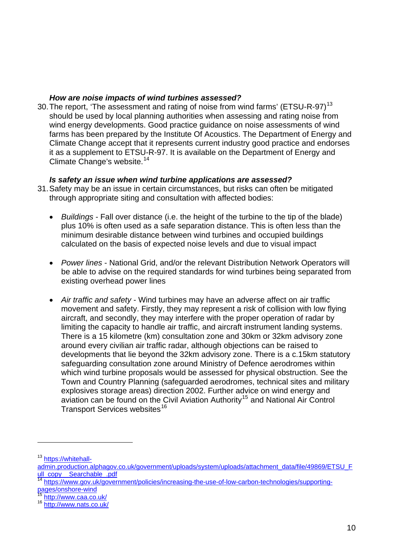#### *How are noise impacts of wind turbines assessed?*

30. The report, 'The assessment and rating of noise from wind farms' (ETSU-R-97)<sup>[13](#page-9-0)</sup> should be used by local planning authorities when assessing and rating noise from wind energy developments. Good practice guidance on noise assessments of wind farms has been prepared by the Institute Of Acoustics. The Department of Energy and Climate Change accept that it represents current industry good practice and endorses it as a supplement to ETSU-R-97. It is available on the Department of Energy and Climate Change's website.<sup>[14](#page-9-1)</sup>

#### *Is safety an issue when wind turbine applications are assessed?*

- 31. Safety may be an issue in certain circumstances, but risks can often be mitigated through appropriate siting and consultation with affected bodies:
	- *Buildings* Fall over distance (i.e. the height of the turbine to the tip of the blade) plus 10% is often used as a safe separation distance. This is often less than the minimum desirable distance between wind turbines and occupied buildings calculated on the basis of expected noise levels and due to visual impact
	- *Power lines* National Grid, and/or the relevant Distribution Network Operators will be able to advise on the required standards for wind turbines being separated from existing overhead power lines
	- *Air traffic and safety* Wind turbines may have an adverse affect on air traffic movement and safety. Firstly, they may represent a risk of collision with low flying aircraft, and secondly, they may interfere with the proper operation of radar by limiting the capacity to handle air traffic, and aircraft instrument landing systems. There is a 15 kilometre (km) consultation zone and 30km or 32km advisory zone around every civilian air traffic radar, although objections can be raised to developments that lie beyond the 32km advisory zone. There is a c.15km statutory safeguarding consultation zone around Ministry of Defence aerodromes within which wind turbine proposals would be assessed for physical obstruction. See the Town and Country Planning (safeguarded aerodromes, technical sites and military explosives storage areas) direction 2002. Further advice on wind energy and aviation can be found on the Civil Aviation Authority<sup>[15](#page-9-2)</sup> and National Air Control Transport Services websites<sup>[16](#page-9-3)</sup>

<span id="page-9-0"></span><sup>13</sup> [https://whitehall-](https://whitehall-admin.production.alphagov.co.uk/government/uploads/system/uploads/attachment_data/file/49869/ETSU_Full_copy__Searchable_.pdf)

[admin.production.alphagov.co.uk/government/uploads/system/uploads/attachment\\_data/file/49869/ETSU\\_F](https://whitehall-admin.production.alphagov.co.uk/government/uploads/system/uploads/attachment_data/file/49869/ETSU_Full_copy__Searchable_.pdf) ull copy Searchable .pdf

<span id="page-9-1"></span><sup>14</sup> [https://www.gov.uk/government/policies/increasing-the-use-of-low-carbon-technologies/supporting](https://www.gov.uk/government/policies/increasing-the-use-of-low-carbon-technologies/supporting-pages/onshore-wind)[pages/onshore-wind](https://www.gov.uk/government/policies/increasing-the-use-of-low-carbon-technologies/supporting-pages/onshore-wind)

<span id="page-9-2"></span><sup>&</sup>lt;sup>15</sup> http://www.caa.co.uk/<br><sup>16</sup> http://www.nats.co.uk/

<span id="page-9-3"></span>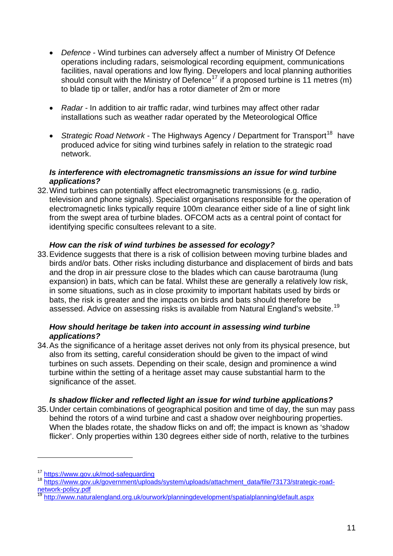- *Defence* Wind turbines can adversely affect a number of Ministry Of Defence operations including radars, seismological recording equipment, communications facilities, naval operations and low flying. Developers and local planning authorities should consult with the Ministry of Defence<sup>[17](#page-10-0)</sup> if a proposed turbine is 11 metres (m) to blade tip or taller, and/or has a rotor diameter of 2m or more
- *Radar* In addition to air traffic radar, wind turbines may affect other radar installations such as weather radar operated by the Meteorological Office
- *Strategic Road Network* The Highways Agency / Department for Transport<sup>[18](#page-10-1)</sup> have produced advice for siting wind turbines safely in relation to the strategic road network.

#### *Is interference with electromagnetic transmissions an issue for wind turbine applications?*

32. Wind turbines can potentially affect electromagnetic transmissions (e.g. radio, television and phone signals). Specialist organisations responsible for the operation of electromagnetic links typically require 100m clearance either side of a line of sight link from the swept area of turbine blades. OFCOM acts as a central point of contact for identifying specific consultees relevant to a site.

### *How can the risk of wind turbines be assessed for ecology?*

33. Evidence suggests that there is a risk of collision between moving turbine blades and birds and/or bats. Other risks including disturbance and displacement of birds and bats and the drop in air pressure close to the blades which can cause barotrauma (lung expansion) in bats, which can be fatal. Whilst these are generally a relatively low risk, in some situations, such as in close proximity to important habitats used by birds or bats, the risk is greater and the impacts on birds and bats should therefore be assessed. Advice on assessing risks is available from Natural England's website.<sup>[19](#page-10-2)</sup>

#### *How should heritage be taken into account in assessing wind turbine applications?*

34. As the significance of a heritage asset derives not only from its physical presence, but also from its setting, careful consideration should be given to the impact of wind turbines on such assets. Depending on their scale, design and prominence a wind turbine within the setting of a heritage asset may cause substantial harm to the significance of the asset.

#### *Is shadow flicker and reflected light an issue for wind turbine applications?*

35. Under certain combinations of geographical position and time of day, the sun may pass behind the rotors of a wind turbine and cast a shadow over neighbouring properties. When the blades rotate, the shadow flicks on and off; the impact is known as 'shadow flicker'. Only properties within 130 degrees either side of north, relative to the turbines

<span id="page-10-1"></span><span id="page-10-0"></span><sup>&</sup>lt;sup>17</sup> <https://www.gov.uk/mod-safeguarding><br><sup>18</sup> https://www.gov.uk/government/uploads/<u>system/uploads/attachment\_data/file/73173/strategic-road-</u> [network-policy.pdf](https://www.gov.uk/government/uploads/system/uploads/attachment_data/file/73173/strategic-road-network-policy.pdf)

<span id="page-10-2"></span><sup>19</sup> <http://www.naturalengland.org.uk/ourwork/planningdevelopment/spatialplanning/default.aspx>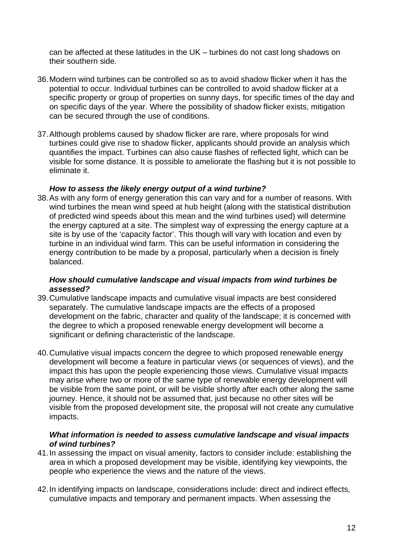can be affected at these latitudes in the UK – turbines do not cast long shadows on their southern side.

- 36. Modern wind turbines can be controlled so as to avoid shadow flicker when it has the potential to occur. Individual turbines can be controlled to avoid shadow flicker at a specific property or group of properties on sunny days, for specific times of the day and on specific days of the year. Where the possibility of shadow flicker exists, mitigation can be secured through the use of conditions.
- 37. Although problems caused by shadow flicker are rare, where proposals for wind turbines could give rise to shadow flicker, applicants should provide an analysis which quantifies the impact. Turbines can also cause flashes of reflected light, which can be visible for some distance. It is possible to ameliorate the flashing but it is not possible to eliminate it.

#### *How to assess the likely energy output of a wind turbine?*

38. As with any form of energy generation this can vary and for a number of reasons. With wind turbines the mean wind speed at hub height (along with the statistical distribution of predicted wind speeds about this mean and the wind turbines used) will determine the energy captured at a site. The simplest way of expressing the energy capture at a site is by use of the 'capacity factor'. This though will vary with location and even by turbine in an individual wind farm. This can be useful information in considering the energy contribution to be made by a proposal, particularly when a decision is finely balanced.

#### *How should cumulative landscape and visual impacts from wind turbines be assessed?*

- 39. Cumulative landscape impacts and cumulative visual impacts are best considered separately. The cumulative landscape impacts are the effects of a proposed development on the fabric, character and quality of the landscape; it is concerned with the degree to which a proposed renewable energy development will become a significant or defining characteristic of the landscape.
- 40. Cumulative visual impacts concern the degree to which proposed renewable energy development will become a feature in particular views (or sequences of views), and the impact this has upon the people experiencing those views. Cumulative visual impacts may arise where two or more of the same type of renewable energy development will be visible from the same point, or will be visible shortly after each other along the same journey. Hence, it should not be assumed that, just because no other sites will be visible from the proposed development site, the proposal will not create any cumulative impacts.

#### *What information is needed to assess cumulative landscape and visual impacts of wind turbines?*

- 41. In assessing the impact on visual amenity, factors to consider include: establishing the area in which a proposed development may be visible, identifying key viewpoints, the people who experience the views and the nature of the views.
- 42. In identifying impacts on landscape, considerations include: direct and indirect effects, cumulative impacts and temporary and permanent impacts. When assessing the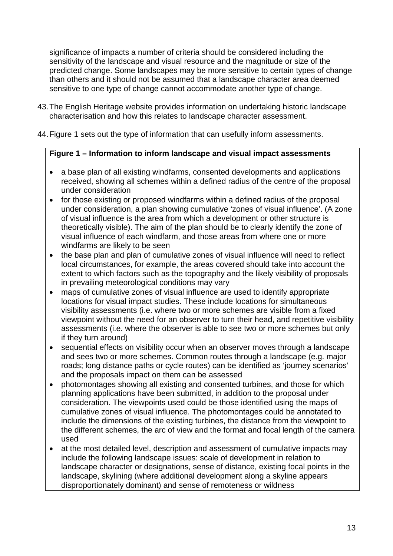significance of impacts a number of criteria should be considered including the sensitivity of the landscape and visual resource and the magnitude or size of the predicted change. Some landscapes may be more sensitive to certain types of change than others and it should not be assumed that a landscape character area deemed sensitive to one type of change cannot accommodate another type of change.

- 43. The English Heritage website provides information on undertaking historic landscape characterisation and how this relates to landscape character assessment.
- 44. Figure 1 sets out the type of information that can usefully inform assessments.

#### **Figure 1 – Information to inform landscape and visual impact assessments**

- a base plan of all existing windfarms, consented developments and applications received, showing all schemes within a defined radius of the centre of the proposal under consideration
- for those existing or proposed windfarms within a defined radius of the proposal under consideration, a plan showing cumulative 'zones of visual influence'. (A zone of visual influence is the area from which a development or other structure is theoretically visible). The aim of the plan should be to clearly identify the zone of visual influence of each windfarm, and those areas from where one or more windfarms are likely to be seen
- the base plan and plan of cumulative zones of visual influence will need to reflect local circumstances, for example, the areas covered should take into account the extent to which factors such as the topography and the likely visibility of proposals in prevailing meteorological conditions may vary
- maps of cumulative zones of visual influence are used to identify appropriate locations for visual impact studies. These include locations for simultaneous visibility assessments (i.e. where two or more schemes are visible from a fixed viewpoint without the need for an observer to turn their head, and repetitive visibility assessments (i.e. where the observer is able to see two or more schemes but only if they turn around)
- sequential effects on visibility occur when an observer moves through a landscape and sees two or more schemes. Common routes through a landscape (e.g. major roads; long distance paths or cycle routes) can be identified as 'journey scenarios' and the proposals impact on them can be assessed
- photomontages showing all existing and consented turbines, and those for which planning applications have been submitted, in addition to the proposal under consideration. The viewpoints used could be those identified using the maps of cumulative zones of visual influence. The photomontages could be annotated to include the dimensions of the existing turbines, the distance from the viewpoint to the different schemes, the arc of view and the format and focal length of the camera used
- at the most detailed level, description and assessment of cumulative impacts may include the following landscape issues: scale of development in relation to landscape character or designations, sense of distance, existing focal points in the landscape, skylining (where additional development along a skyline appears disproportionately dominant) and sense of remoteness or wildness